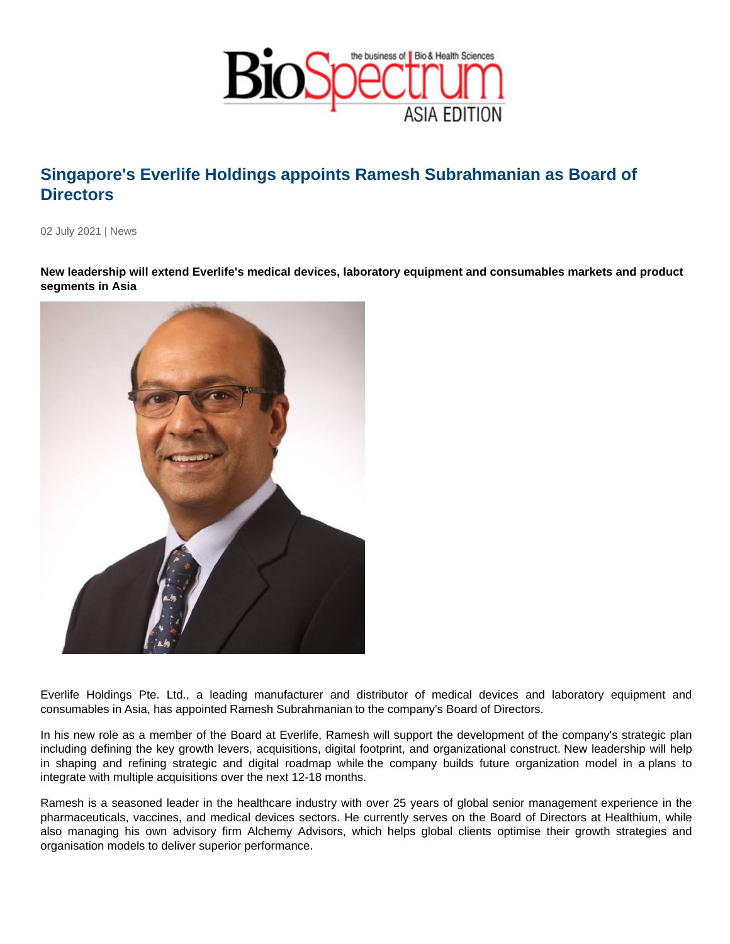## Singapore's Everlife Holdings appoints Ramesh Subrahmanian as Board of **Directors**

02 July 2021 | News

New leadership will extend Everlife's medical devices, laboratory equipment and consumables markets and product segments in Asia

Everlife Holdings Pte. Ltd., a leading manufacturer and distributor of medical devices and laboratory equipment and consumables in Asia, has appointed Ramesh Subrahmanian to the company's Board of Directors.

In his new role as a member of the Board at Everlife, Ramesh will support the development of the company's strategic plan including defining the key growth levers, acquisitions, digital footprint, and organizational construct. New leadership will help in shaping and refining strategic and digital roadmap while the company builds future organization model in a plans to integrate with multiple acquisitions over the next 12-18 months.

Ramesh is a seasoned leader in the healthcare industry with over 25 years of global senior management experience in the pharmaceuticals, vaccines, and medical devices sectors. He currently serves on the Board of Directors at Healthium, while also managing his own advisory firm Alchemy Advisors, which helps global clients optimise their growth strategies and organisation models to deliver superior performance.